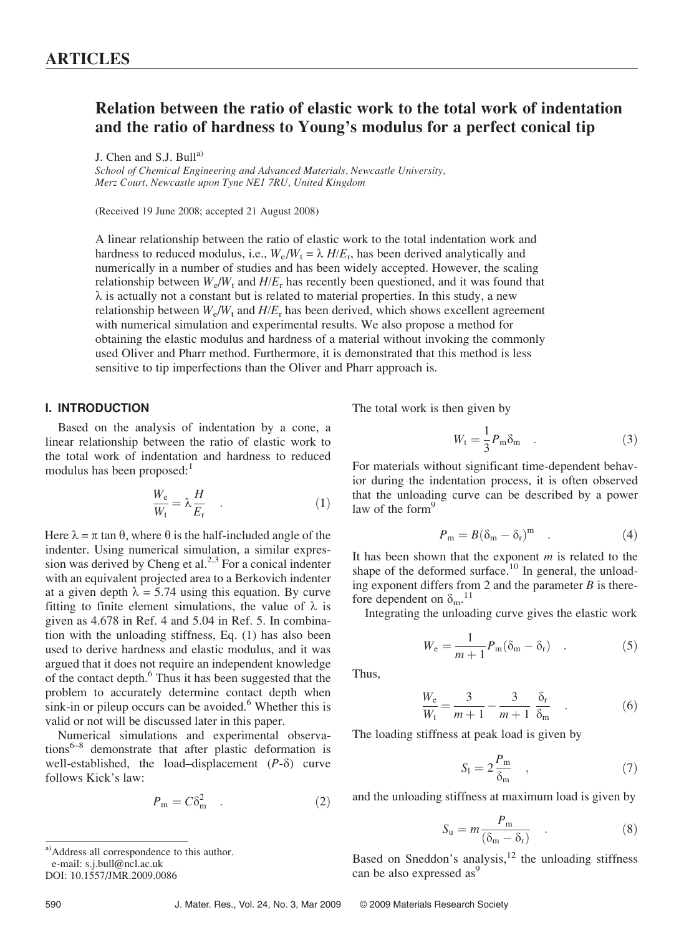# Relation between the ratio of elastic work to the total work of indentation and the ratio of hardness to Young's modulus for a perfect conical tip

J. Chen and S.J. Bull $^{a)}$ 

School of Chemical Engineering and Advanced Materials, Newcastle University, Merz Court, Newcastle upon Tyne NE1 7RU, United Kingdom

(Received 19 June 2008; accepted 21 August 2008)

A linear relationship between the ratio of elastic work to the total indentation work and hardness to reduced modulus, i.e.,  $W_e/W_t = \lambda H/E_r$ , has been derived analytically and numerically in a number of studies and has been widely accepted. However, the scaling relationship between  $W_e/W_t$  and  $H/E_r$  has recently been questioned, and it was found that  $\lambda$  is actually not a constant but is related to material properties. In this study, a new relationship between  $W_e/W_t$  and  $H/E_r$  has been derived, which shows excellent agreement with numerical simulation and experimental results. We also propose a method for obtaining the elastic modulus and hardness of a material without invoking the commonly used Oliver and Pharr method. Furthermore, it is demonstrated that this method is less sensitive to tip imperfections than the Oliver and Pharr approach is.

# I. INTRODUCTION

Based on the analysis of indentation by a cone, a linear relationship between the ratio of elastic work to the total work of indentation and hardness to reduced modulus has been proposed: $<sup>1</sup>$ </sup>

$$
\frac{W_e}{W_t} = \lambda \frac{H}{E_r} \quad . \tag{1}
$$

Here  $\lambda = \pi \tan \theta$ , where  $\theta$  is the half-included angle of the indenter. Using numerical simulation, a similar expression was derived by Cheng et al.<sup>2,3</sup> For a conical indenter with an equivalent projected area to a Berkovich indenter at a given depth  $\lambda = 5.74$  using this equation. By curve fitting to finite element simulations, the value of  $\lambda$  is given as 4.678 in Ref. 4 and 5.04 in Ref. 5. In combination with the unloading stiffness, Eq. (1) has also been used to derive hardness and elastic modulus, and it was argued that it does not require an independent knowledge of the contact depth.6 Thus it has been suggested that the problem to accurately determine contact depth when sink-in or pileup occurs can be avoided.<sup>6</sup> Whether this is valid or not will be discussed later in this paper.

Numerical simulations and experimental observations $6-8$  demonstrate that after plastic deformation is well-established, the load–displacement  $(P-\delta)$  curve follows Kick's law:

$$
P_{\rm m} = C\delta_{\rm m}^2 \quad . \tag{2}
$$

a)Address all correspondence to this author. e-mail: s.j.bull@ncl.ac.uk DOI: 10.1557/JMR.2009.0086

The total work is then given by

$$
W_{t} = \frac{1}{3} P_{m} \delta_{m} \quad . \tag{3}
$$

For materials without significant time-dependent behavior during the indentation process, it is often observed that the unloading curve can be described by a power law of the form $<sup>9</sup>$ </sup>

$$
P_m = B(\delta_m - \delta_r)^m \quad . \tag{4}
$$

It has been shown that the exponent  $m$  is related to the shape of the deformed surface.<sup>10</sup> In general, the unloading exponent differs from 2 and the parameter  $B$  is therefore dependent on  $\delta_{\rm m}$ .<sup>11</sup>

Integrating the unloading curve gives the elastic work

$$
W_{\rm e} = \frac{1}{m+1} P_{\rm m} (\delta_{\rm m} - \delta_{\rm r}) \quad . \tag{5}
$$

Thus,

$$
\frac{W_e}{W_t} = \frac{3}{m+1} - \frac{3}{m+1} \frac{\delta_r}{\delta_m} \tag{6}
$$

The loading stiffness at peak load is given by

$$
S_{\rm l} = 2\frac{P_{\rm m}}{\delta_{\rm m}} \quad , \tag{7}
$$

and the unloading stiffness at maximum load is given by

$$
S_{\rm u} = m \frac{P_{\rm m}}{(\delta_{\rm m} - \delta_{\rm r})} \quad . \tag{8}
$$

Based on Sneddon's analysis, $12$  the unloading stiffness can be also expressed as<sup>9</sup>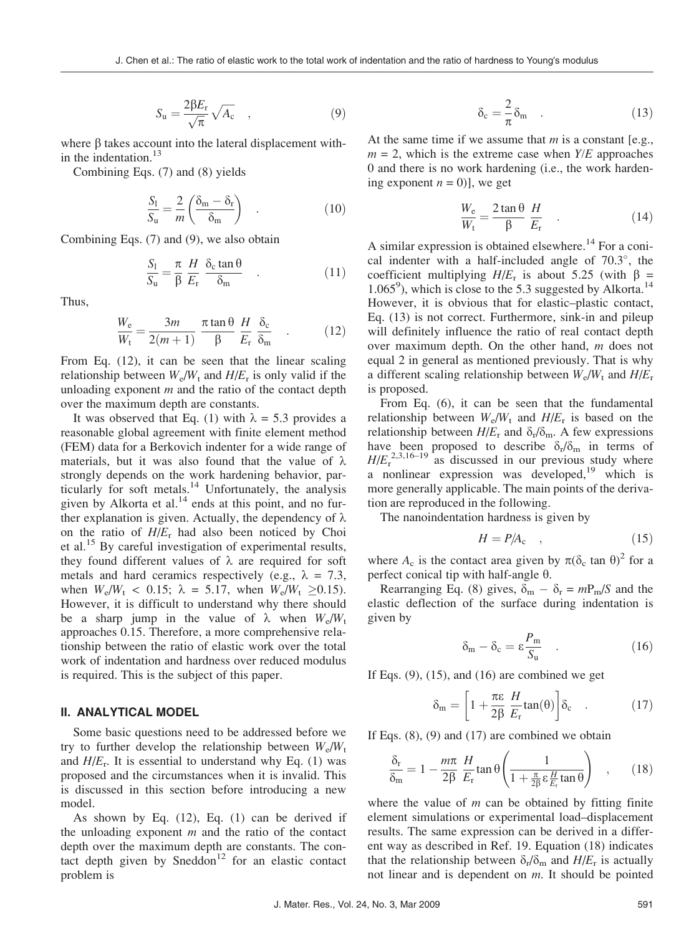$$
S_{\rm u} = \frac{2\beta E_{\rm r}}{\sqrt{\pi}} \sqrt{A_{\rm c}} \quad , \tag{9}
$$

where  $\beta$  takes account into the lateral displacement within the indentation. $^{13}$ 

Combining Eqs. (7) and (8) yields

$$
\frac{S_1}{S_u} = \frac{2}{m} \left( \frac{\delta_m - \delta_r}{\delta_m} \right) \quad . \tag{10}
$$

Combining Eqs. (7) and (9), we also obtain

$$
\frac{S_1}{S_u} = \frac{\pi}{\beta} \frac{H}{E_r} \frac{\delta_c \tan \theta}{\delta_m} . \tag{11}
$$

Thus,

$$
\frac{W_e}{W_t} = \frac{3m}{2(m+1)} \frac{\pi \tan \theta}{\beta} \frac{H}{E_r} \frac{\delta_c}{\delta_m} . \qquad (12)
$$

From Eq. (12), it can be seen that the linear scaling relationship between  $W_e/W_t$  and  $H/E_r$  is only valid if the unloading exponent  $m$  and the ratio of the contact depth over the maximum depth are constants.

It was observed that Eq. (1) with  $\lambda = 5.3$  provides a reasonable global agreement with finite element method (FEM) data for a Berkovich indenter for a wide range of materials, but it was also found that the value of  $\lambda$ strongly depends on the work hardening behavior, particularly for soft metals.<sup>14</sup> Unfortunately, the analysis given by Alkorta et al. $^{14}$  ends at this point, and no further explanation is given. Actually, the dependency of  $\lambda$ on the ratio of  $H/E_r$  had also been noticed by Choi et al.<sup>15</sup> By careful investigation of experimental results, they found different values of  $\lambda$  are required for soft metals and hard ceramics respectively (e.g.,  $\lambda = 7.3$ , when  $W_e/W_t < 0.15$ ;  $\lambda = 5.17$ , when  $W_e/W_t \ge 0.15$ . However, it is difficult to understand why there should be a sharp jump in the value of  $\lambda$  when  $W_e/W_t$ approaches 0.15. Therefore, a more comprehensive relationship between the ratio of elastic work over the total work of indentation and hardness over reduced modulus is required. This is the subject of this paper.

## II. ANALYTICAL MODEL

Some basic questions need to be addressed before we try to further develop the relationship between  $W_e/W_t$ and  $H/E_r$ . It is essential to understand why Eq. (1) was proposed and the circumstances when it is invalid. This is discussed in this section before introducing a new model.

As shown by Eq. (12), Eq. (1) can be derived if the unloading exponent  $m$  and the ratio of the contact depth over the maximum depth are constants. The contact depth given by Sneddon<sup>12</sup> for an elastic contact problem is

$$
\delta_c = \frac{2}{\pi} \delta_m \quad . \tag{13}
$$

At the same time if we assume that  $m$  is a constant [e.g.,  $m = 2$ , which is the extreme case when  $Y/E$  approaches 0 and there is no work hardening (i.e., the work hardening exponent  $n = 0$ ], we get

$$
\frac{W_{\rm e}}{W_{\rm t}} = \frac{2 \tan \theta}{\beta} \frac{H}{E_{\rm r}} \tag{14}
$$

A similar expression is obtained elsewhere.<sup>14</sup> For a conical indenter with a half-included angle of  $70.3^{\circ}$ , the coefficient multiplying  $H/E_r$  is about 5.25 (with  $\beta$  = 1.065<sup>9</sup>), which is close to the 5.3 suggested by Alkorta.<sup>14</sup> However, it is obvious that for elastic–plastic contact, Eq. (13) is not correct. Furthermore, sink-in and pileup will definitely influence the ratio of real contact depth over maximum depth. On the other hand,  $m$  does not equal 2 in general as mentioned previously. That is why a different scaling relationship between  $W_e/W_t$  and  $H/E_r$ is proposed.

From Eq. (6), it can be seen that the fundamental relationship between  $W_e/W_t$  and  $H/E_r$  is based on the relationship between  $H/E_r$  and  $\delta_r/\delta_m$ . A few expressions have been proposed to describe  $\delta_r/\delta_m$  in terms of  $H/E<sub>r</sub><sup>2,3,16-19</sup>$  as discussed in our previous study where a nonlinear expression was developed, <sup>19</sup> which is more generally applicable. The main points of the derivation are reproduced in the following.

The nanoindentation hardness is given by

$$
H = P/Ac \t\t(15)
$$

where  $A_c$  is the contact area given by  $\pi(\delta_c \tan \theta)^2$  for a perfect conical tip with half-angle  $\theta$ .

Rearranging Eq. (8) gives,  $\delta_{\rm m} - \delta_{\rm r} = mP_{\rm m}/S$  and the elastic deflection of the surface during indentation is given by

$$
\delta_{\rm m} - \delta_{\rm c} = \varepsilon \frac{P_{\rm m}}{S_{\rm u}} \quad . \tag{16}
$$

If Eqs.  $(9)$ ,  $(15)$ , and  $(16)$  are combined we get

$$
\delta_{\rm m} = \left[1 + \frac{\pi \varepsilon}{2\beta} \frac{H}{E_{\rm r}} \tan(\theta)\right] \delta_{\rm c} \quad . \tag{17}
$$

If Eqs. (8), (9) and (17) are combined we obtain

$$
\frac{\delta_{\rm r}}{\delta_{\rm m}} = 1 - \frac{m\pi}{2\beta} \frac{H}{E_{\rm r}} \tan \theta \left( \frac{1}{1 + \frac{\pi}{2\beta} \epsilon \frac{H}{E_{\rm r}} \tan \theta} \right) , \qquad (18)
$$

where the value of  $m$  can be obtained by fitting finite element simulations or experimental load–displacement results. The same expression can be derived in a different way as described in Ref. 19. Equation (18) indicates that the relationship between  $\delta_{\rm r}/\delta_{\rm m}$  and  $H/E_{\rm r}$  is actually not linear and is dependent on m. It should be pointed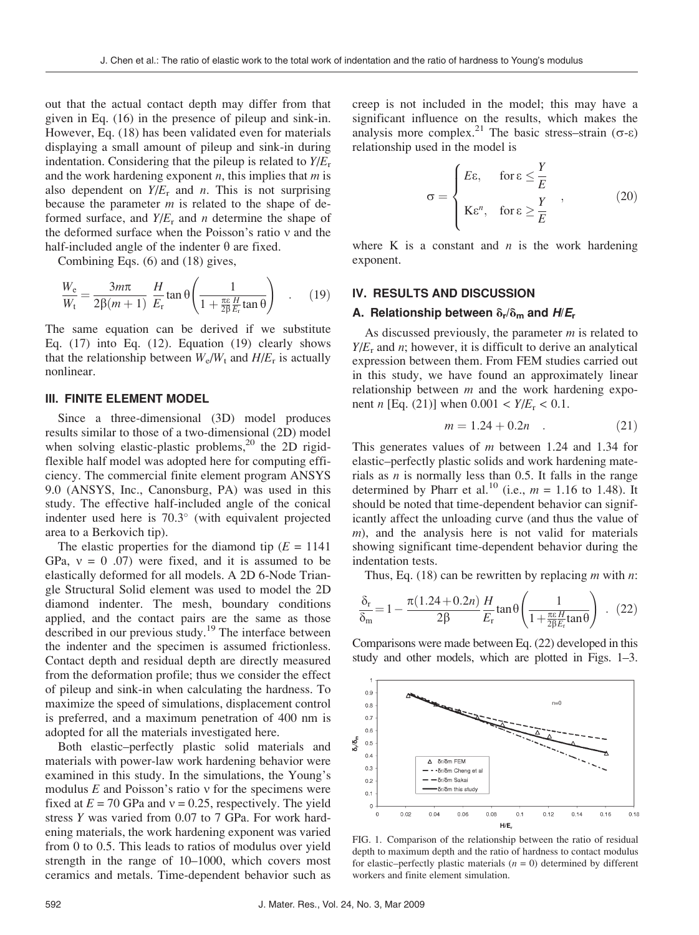out that the actual contact depth may differ from that given in Eq. (16) in the presence of pileup and sink-in. However, Eq. (18) has been validated even for materials displaying a small amount of pileup and sink-in during indentation. Considering that the pileup is related to  $Y/E_r$ and the work hardening exponent  $n$ , this implies that  $m$  is also dependent on  $Y/E_r$  and *n*. This is not surprising because the parameter  $m$  is related to the shape of deformed surface, and  $Y/E_r$  and n determine the shape of the deformed surface when the Poisson's ratio  $v$  and the half-included angle of the indenter  $\theta$  are fixed.

Combining Eqs. (6) and (18) gives,

$$
\frac{W_e}{W_t} = \frac{3m\pi}{2\beta(m+1)} \frac{H}{E_r} \tan \theta \left(\frac{1}{1 + \frac{\pi \varepsilon H}{2\beta E_r} \tan \theta}\right) \quad . \tag{19}
$$

The same equation can be derived if we substitute Eq. (17) into Eq. (12). Equation (19) clearly shows that the relationship between  $W_e/W_t$  and  $H/E_r$  is actually nonlinear.

### III. FINITE ELEMENT MODEL

Since a three-dimensional (3D) model produces results similar to those of a two-dimensional (2D) model when solving elastic-plastic problems, $^{20}$  the 2D rigidflexible half model was adopted here for computing efficiency. The commercial finite element program ANSYS 9.0 (ANSYS, Inc., Canonsburg, PA) was used in this study. The effective half-included angle of the conical indenter used here is  $70.3^\circ$  (with equivalent projected area to a Berkovich tip).

The elastic properties for the diamond tip  $(E = 1141)$ GPa,  $v = 0$  .07) were fixed, and it is assumed to be elastically deformed for all models. A 2D 6-Node Triangle Structural Solid element was used to model the 2D diamond indenter. The mesh, boundary conditions applied, and the contact pairs are the same as those described in our previous study.<sup>19</sup> The interface between the indenter and the specimen is assumed frictionless. Contact depth and residual depth are directly measured from the deformation profile; thus we consider the effect of pileup and sink-in when calculating the hardness. To maximize the speed of simulations, displacement control is preferred, and a maximum penetration of 400 nm is adopted for all the materials investigated here.

Both elastic–perfectly plastic solid materials and materials with power-law work hardening behavior were examined in this study. In the simulations, the Young's modulus  $E$  and Poisson's ratio  $v$  for the specimens were fixed at  $E = 70$  GPa and  $v = 0.25$ , respectively. The yield stress Y was varied from 0.07 to 7 GPa. For work hardening materials, the work hardening exponent was varied from 0 to 0.5. This leads to ratios of modulus over yield strength in the range of 10–1000, which covers most ceramics and metals. Time-dependent behavior such as creep is not included in the model; this may have a significant influence on the results, which makes the analysis more complex.<sup>21</sup> The basic stress–strain ( $\sigma$ - $\varepsilon$ ) relationship used in the model is

$$
\sigma = \begin{cases} E\varepsilon, & \text{for } \varepsilon \leq \frac{Y}{E} \\ K\varepsilon^n, & \text{for } \varepsilon \geq \frac{Y}{E} \end{cases}
$$
 (20)

where K is a constant and  $n$  is the work hardening exponent.

## IV. RESULTS AND DISCUSSION

### A. Relationship between  $\delta_r/\delta_m$  and  $H/E_r$

As discussed previously, the parameter *m* is related to  $Y/E_r$  and *n*; however, it is difficult to derive an analytical expression between them. From FEM studies carried out in this study, we have found an approximately linear relationship between  $m$  and the work hardening exponent *n* [Eq. (21)] when  $0.001 < Y/E_r < 0.1$ .

$$
m = 1.24 + 0.2n \tag{21}
$$

This generates values of *m* between 1.24 and 1.34 for elastic–perfectly plastic solids and work hardening materials as  $n$  is normally less than 0.5. It falls in the range determined by Pharr et al.<sup>10</sup> (i.e.,  $m = 1.16$  to 1.48). It should be noted that time-dependent behavior can significantly affect the unloading curve (and thus the value of  $m$ ), and the analysis here is not valid for materials showing significant time-dependent behavior during the indentation tests.

Thus, Eq. (18) can be rewritten by replacing  $m$  with  $n$ :

$$
\frac{\delta_r}{\delta_m} = 1 - \frac{\pi (1.24 + 0.2n)}{2\beta} \frac{H}{E_r} \tan \theta \left( \frac{1}{1 + \frac{\pi \varepsilon H}{2\beta E_r} \tan \theta} \right) \quad (22)
$$

Comparisons were made between Eq. (22) developed in this study and other models, which are plotted in Figs. 1–3.



FIG. 1. Comparison of the relationship between the ratio of residual depth to maximum depth and the ratio of hardness to contact modulus for elastic–perfectly plastic materials  $(n = 0)$  determined by different workers and finite element simulation.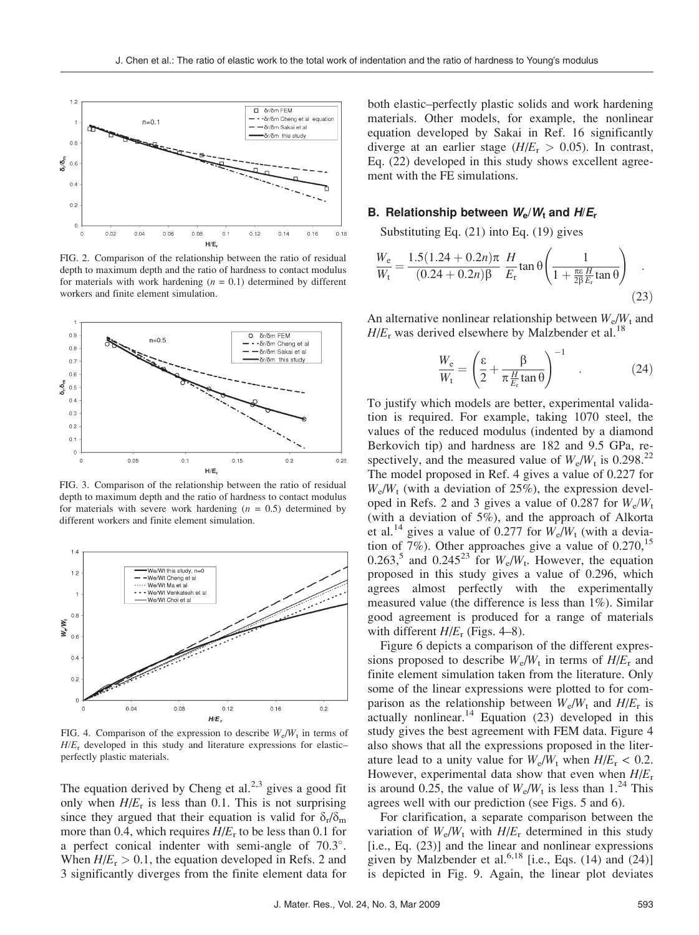

FIG. 2. Comparison of the relationship between the ratio of residual depth to maximum depth and the ratio of hardness to contact modulus for materials with work hardening  $(n = 0.1)$  determined by different workers and finite element simulation.



FIG. 3. Comparison of the relationship between the ratio of residual depth to maximum depth and the ratio of hardness to contact modulus for materials with severe work hardening  $(n = 0.5)$  determined by different workers and finite element simulation.



FIG. 4. Comparison of the expression to describe  $W_e/W_t$  in terms of  $H/E_r$  developed in this study and literature expressions for elasticperfectly plastic materials.

The equation derived by Cheng et al. $2,3$  gives a good fit only when  $H/E_r$  is less than 0.1. This is not surprising since they argued that their equation is valid for  $\delta_r/\delta_m$ more than 0.4, which requires  $H/E_r$  to be less than 0.1 for a perfect conical indenter with semi-angle of 70.3°. When  $H/E_r > 0.1$ , the equation developed in Refs. 2 and 3 significantly diverges from the finite element data for

both elastic–perfectly plastic solids and work hardening materials. Other models, for example, the nonlinear equation developed by Sakai in Ref. 16 significantly diverge at an earlier stage  $(H/E_r > 0.05)$ . In contrast, Eq. (22) developed in this study shows excellent agreement with the FE simulations.

#### B. Relationship between  $W_e/W_t$  and  $H/E_r$

Substituting Eq. (21) into Eq. (19) gives

$$
\frac{W_e}{W_t} = \frac{1.5(1.24 + 0.2n)\pi}{(0.24 + 0.2n)\beta} \frac{H}{E_r} \tan \theta \left(\frac{1}{1 + \frac{\pi \epsilon}{2\beta} \frac{H}{E_r} \tan \theta}\right)
$$
(23)

An alternative nonlinear relationship between  $W_e/W_t$  and  $H/E_r$  was derived elsewhere by Malzbender et al.<sup>18</sup>

$$
\frac{W_{\rm e}}{W_{\rm t}} = \left(\frac{\varepsilon}{2} + \frac{\beta}{\pi \frac{H}{E_{\rm r}} \tan \theta}\right)^{-1} \quad . \tag{24}
$$

To justify which models are better, experimental validation is required. For example, taking 1070 steel, the values of the reduced modulus (indented by a diamond Berkovich tip) and hardness are 182 and 9.5 GPa, respectively, and the measured value of  $W_e/W_t$  is 0.298.<sup>22</sup> The model proposed in Ref. 4 gives a value of 0.227 for  $W_e/W_t$  (with a deviation of 25%), the expression developed in Refs. 2 and 3 gives a value of 0.287 for  $W_e/W_t$ (with a deviation of 5%), and the approach of Alkorta et al.<sup>14</sup> gives a value of 0.277 for  $W_e/W_t$  (with a deviation of 7%). Other approaches give a value of  $0.270$ , <sup>15</sup> 0.263,<sup>5</sup> and 0.245<sup>23</sup> for  $W_e/W_t$ . However, the equation proposed in this study gives a value of 0.296, which agrees almost perfectly with the experimentally measured value (the difference is less than 1%). Similar good agreement is produced for a range of materials with different  $H/E_r$  (Figs. 4–8).

Figure 6 depicts a comparison of the different expressions proposed to describe  $W_e/W_t$  in terms of  $H/E_r$  and finite element simulation taken from the literature. Only some of the linear expressions were plotted to for comparison as the relationship between  $W_e/W_t$  and  $H/E_r$  is  $\alpha$ ctually nonlinear.<sup>14</sup> Equation (23) developed in this study gives the best agreement with FEM data. Figure 4 also shows that all the expressions proposed in the literature lead to a unity value for  $W_e/W_t$  when  $H/E_r < 0.2$ . However, experimental data show that even when  $H/E_r$ is around 0.25, the value of  $W_e/W_t$  is less than 1.<sup>24</sup> This agrees well with our prediction (see Figs. 5 and 6).

For clarification, a separate comparison between the variation of  $W_e/W_t$  with  $H/E_r$  determined in this study [i.e., Eq. (23)] and the linear and nonlinear expressions given by Malzbender et al.<sup>6,18</sup> [i.e., Eqs.  $(14)$  and  $(24)$ ] is depicted in Fig. 9. Again, the linear plot deviates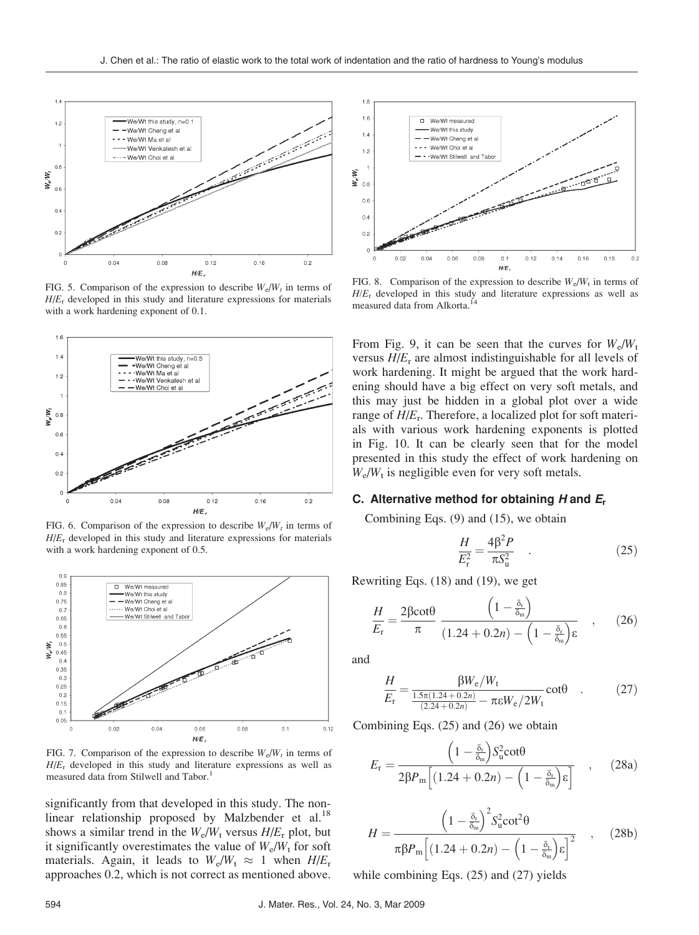

FIG. 5. Comparison of the expression to describe  $W_e/W_t$  in terms of  $H/E_r$  developed in this study and literature expressions for materials with a work hardening exponent of 0.1.



FIG. 6. Comparison of the expression to describe  $W_e/W_t$  in terms of  $H/E_r$  developed in this study and literature expressions for materials with a work hardening exponent of 0.5.



FIG. 7. Comparison of the expression to describe  $W_e/W_t$  in terms of  $H/E_r$  developed in this study and literature expressions as well as measured data from Stilwell and Tabor.<sup>1</sup>

significantly from that developed in this study. The nonlinear relationship proposed by Malzbender et al.<sup>18</sup> shows a similar trend in the  $W_e/W_t$  versus  $H/E_r$  plot, but it significantly overestimates the value of  $W_e/W_t$  for soft materials. Again, it leads to  $W_e/W_t \approx 1$  when  $H/E_r$ approaches 0.2, which is not correct as mentioned above.



FIG. 8. Comparison of the expression to describe  $W_e/W_t$  in terms of  $H/E_r$  developed in this study and literature expressions as well as measured data from Alkorta.<sup>14</sup>

From Fig. 9, it can be seen that the curves for  $W_e/W_t$ versus  $H/E_r$  are almost indistinguishable for all levels of work hardening. It might be argued that the work hardening should have a big effect on very soft metals, and this may just be hidden in a global plot over a wide range of  $H/E_r$ . Therefore, a localized plot for soft materials with various work hardening exponents is plotted in Fig. 10. It can be clearly seen that for the model presented in this study the effect of work hardening on  $W_e/W_t$  is negligible even for very soft metals.

## C. Alternative method for obtaining H and  $E_r$

Combining Eqs. (9) and (15), we obtain

$$
\frac{H}{E_{\rm r}^2} = \frac{4\beta^2 P}{\pi S_{\rm u}^2} \quad . \tag{25}
$$

Rewriting Eqs. (18) and (19), we get

$$
\frac{H}{E_{\rm r}} = \frac{2\beta \cot \theta}{\pi} \frac{\left(1 - \frac{\delta_{\rm r}}{\delta_{\rm m}}\right)}{(1.24 + 0.2n) - \left(1 - \frac{\delta_{\rm r}}{\delta_{\rm m}}\right) \epsilon} \quad , \quad (26)
$$

and

$$
\frac{H}{E_{\rm r}} = \frac{\beta W_{\rm e}/W_{\rm t}}{\frac{1.5\pi(1.24 + 0.2n)}{(2.24 + 0.2n)} - \pi \epsilon W_{\rm e}/2W_{\rm t}} \cot\theta \quad . \tag{27}
$$

Combining Eqs. (25) and (26) we obtain

$$
E_{\rm r} = \frac{\left(1 - \frac{\delta_{\rm r}}{\delta_{\rm m}}\right) S_{\rm u}^2 \cot\theta}{2\beta P_{\rm m} \left[ (1.24 + 0.2n) - \left(1 - \frac{\delta_{\rm r}}{\delta_{\rm m}}\right) \epsilon \right]} \quad , \quad (28a)
$$

$$
H = \frac{\left(1 - \frac{\delta_r}{\delta_m}\right)^2 S_u^2 \cot^2 \theta}{\pi \beta P_m \left[ (1.24 + 0.2n) - \left(1 - \frac{\delta_r}{\delta_m}\right) \varepsilon \right]^2} \quad , \quad (28b)
$$

while combining Eqs.  $(25)$  and  $(27)$  yields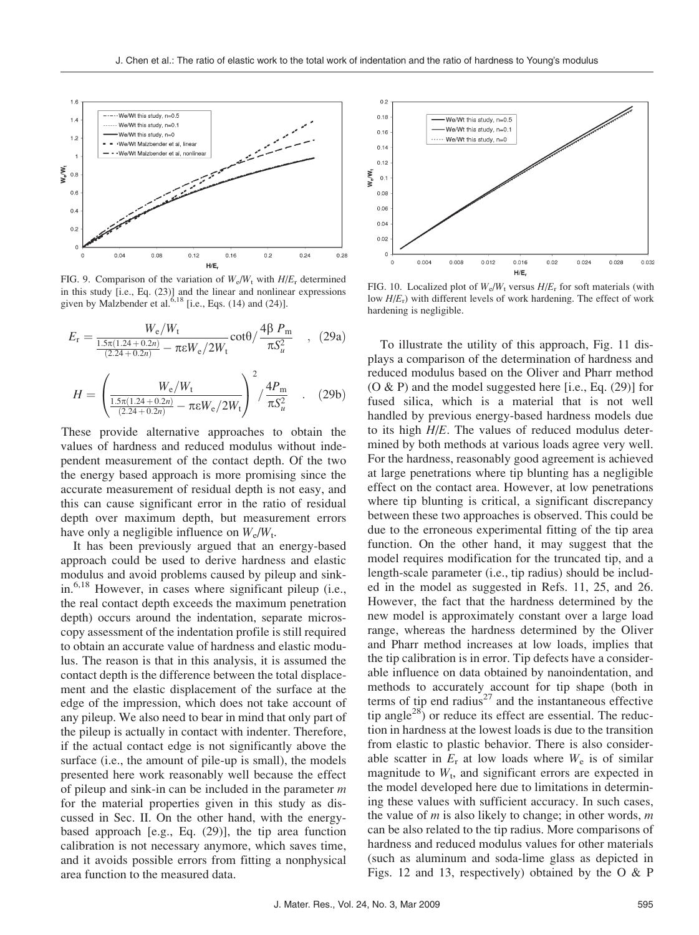

FIG. 9. Comparison of the variation of  $W_e/W_t$  with  $H/E_r$  determined in this study [i.e., Eq. (23)] and the linear and nonlinear expressions given by Malzbender et al.<sup>6,18</sup> [i.e., Eqs.  $(14)$  and  $(24)$ ].

$$
E_{\rm r} = \frac{W_{\rm e}/W_{\rm t}}{\frac{1.5\pi(1.24 + 0.2n)}{(2.24 + 0.2n)} - \pi \epsilon W_{\rm e}/2W_{\rm t}} \cot\theta / \frac{4\beta P_{\rm m}}{\pi S_u^2} \quad , \quad (29a)
$$

$$
H = \left(\frac{W_e/W_t}{\frac{1.5\pi(1.24 + 0.2n)}{(2.24 + 0.2n)} - \pi \varepsilon W_e/2W_t}\right)^2 / \frac{4P_m}{\pi S_u^2} \quad . \quad (29b)
$$

These provide alternative approaches to obtain the values of hardness and reduced modulus without independent measurement of the contact depth. Of the two the energy based approach is more promising since the accurate measurement of residual depth is not easy, and this can cause significant error in the ratio of residual depth over maximum depth, but measurement errors have only a negligible influence on  $W_e/W_t$ .

It has been previously argued that an energy-based approach could be used to derive hardness and elastic modulus and avoid problems caused by pileup and sinkin.6,18 However, in cases where significant pileup (i.e., the real contact depth exceeds the maximum penetration depth) occurs around the indentation, separate microscopy assessment of the indentation profile is still required to obtain an accurate value of hardness and elastic modulus. The reason is that in this analysis, it is assumed the contact depth is the difference between the total displacement and the elastic displacement of the surface at the edge of the impression, which does not take account of any pileup. We also need to bear in mind that only part of the pileup is actually in contact with indenter. Therefore, if the actual contact edge is not significantly above the surface (i.e., the amount of pile-up is small), the models presented here work reasonably well because the effect of pileup and sink-in can be included in the parameter  $m$ for the material properties given in this study as discussed in Sec. II. On the other hand, with the energybased approach [e.g., Eq. (29)], the tip area function calibration is not necessary anymore, which saves time, and it avoids possible errors from fitting a nonphysical area function to the measured data.



FIG. 10. Localized plot of  $W_e/W_t$  versus  $H/E_r$  for soft materials (with low  $H/E_r$ ) with different levels of work hardening. The effect of work hardening is negligible.

To illustrate the utility of this approach, Fig. 11 displays a comparison of the determination of hardness and reduced modulus based on the Oliver and Pharr method (O & P) and the model suggested here [i.e., Eq. (29)] for fused silica, which is a material that is not well handled by previous energy-based hardness models due to its high  $H/E$ . The values of reduced modulus determined by both methods at various loads agree very well. For the hardness, reasonably good agreement is achieved at large penetrations where tip blunting has a negligible effect on the contact area. However, at low penetrations where tip blunting is critical, a significant discrepancy between these two approaches is observed. This could be due to the erroneous experimental fitting of the tip area function. On the other hand, it may suggest that the model requires modification for the truncated tip, and a length-scale parameter (i.e., tip radius) should be included in the model as suggested in Refs. 11, 25, and 26. However, the fact that the hardness determined by the new model is approximately constant over a large load range, whereas the hardness determined by the Oliver and Pharr method increases at low loads, implies that the tip calibration is in error. Tip defects have a considerable influence on data obtained by nanoindentation, and methods to accurately account for tip shape (both in terms of tip end radius<sup>27</sup> and the instantaneous effective tip angle<sup>28</sup>) or reduce its effect are essential. The reduction in hardness at the lowest loads is due to the transition from elastic to plastic behavior. There is also considerable scatter in  $E_r$  at low loads where  $W_e$  is of similar magnitude to  $W_t$ , and significant errors are expected in the model developed here due to limitations in determining these values with sufficient accuracy. In such cases, the value of *m* is also likely to change; in other words, *m* can be also related to the tip radius. More comparisons of hardness and reduced modulus values for other materials (such as aluminum and soda-lime glass as depicted in Figs. 12 and 13, respectively) obtained by the O & P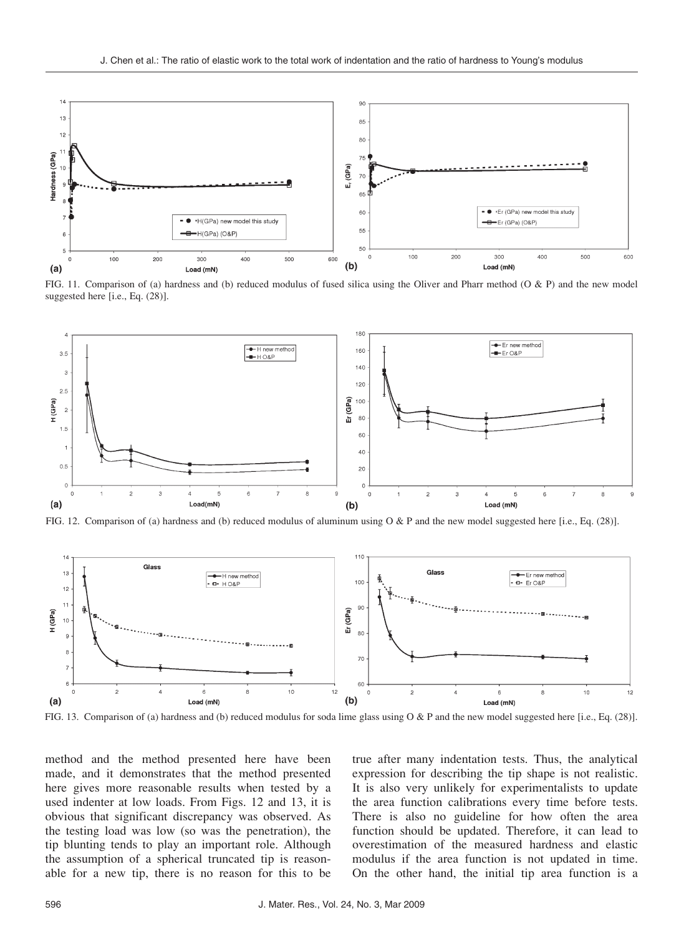

FIG. 11. Comparison of (a) hardness and (b) reduced modulus of fused silica using the Oliver and Pharr method (O & P) and the new model suggested here [i.e., Eq. (28)].



FIG. 12. Comparison of (a) hardness and (b) reduced modulus of aluminum using O & P and the new model suggested here [i.e., Eq. (28)].



FIG. 13. Comparison of (a) hardness and (b) reduced modulus for soda lime glass using O & P and the new model suggested here [i.e., Eq. (28)].

method and the method presented here have been made, and it demonstrates that the method presented here gives more reasonable results when tested by a used indenter at low loads. From Figs. 12 and 13, it is obvious that significant discrepancy was observed. As the testing load was low (so was the penetration), the tip blunting tends to play an important role. Although the assumption of a spherical truncated tip is reasonable for a new tip, there is no reason for this to be

true after many indentation tests. Thus, the analytical expression for describing the tip shape is not realistic. It is also very unlikely for experimentalists to update the area function calibrations every time before tests. There is also no guideline for how often the area function should be updated. Therefore, it can lead to overestimation of the measured hardness and elastic modulus if the area function is not updated in time. On the other hand, the initial tip area function is a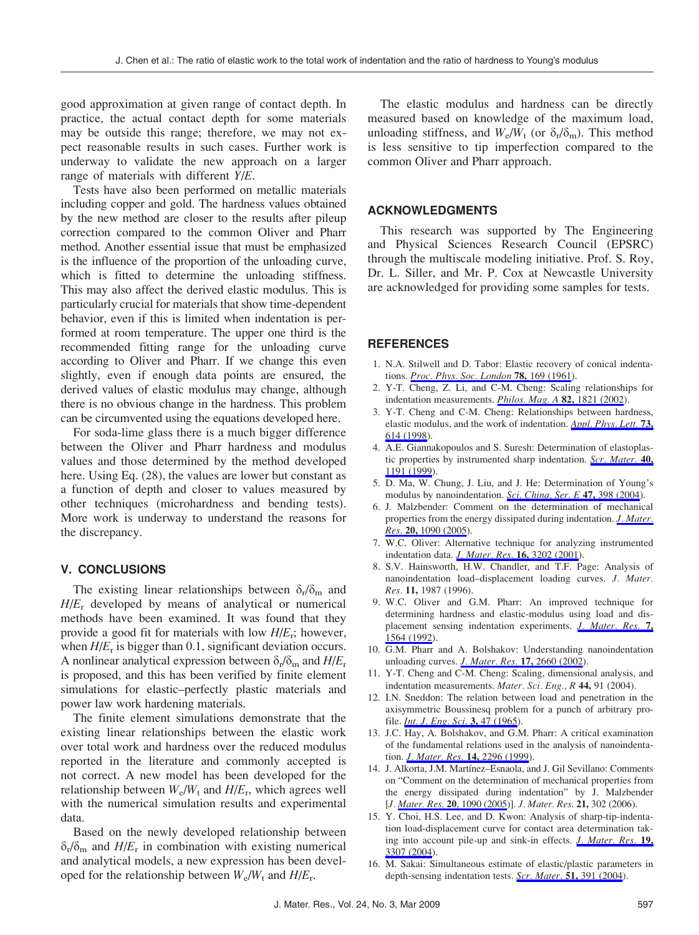good approximation at given range of contact depth. In practice, the actual contact depth for some materials may be outside this range; therefore, we may not expect reasonable results in such cases. Further work is underway to validate the new approach on a larger range of materials with different Y/E.

Tests have also been performed on metallic materials including copper and gold. The hardness values obtained by the new method are closer to the results after pileup correction compared to the common Oliver and Pharr method. Another essential issue that must be emphasized is the influence of the proportion of the unloading curve, which is fitted to determine the unloading stiffness. This may also affect the derived elastic modulus. This is particularly crucial for materials that show time-dependent behavior, even if this is limited when indentation is performed at room temperature. The upper one third is the recommended fitting range for the unloading curve according to Oliver and Pharr. If we change this even slightly, even if enough data points are ensured, the derived values of elastic modulus may change, although there is no obvious change in the hardness. This problem can be circumvented using the equations developed here.

For soda-lime glass there is a much bigger difference between the Oliver and Pharr hardness and modulus values and those determined by the method developed here. Using Eq. (28), the values are lower but constant as a function of depth and closer to values measured by other techniques (microhardness and bending tests). More work is underway to understand the reasons for the discrepancy.

# V. CONCLUSIONS

The existing linear relationships between  $\delta_{\rm r}/\delta_{\rm m}$  and  $H/E_r$  developed by means of analytical or numerical methods have been examined. It was found that they provide a good fit for materials with low  $H/E_r$ ; however, when  $H/E_r$  is bigger than 0.1, significant deviation occurs. A nonlinear analytical expression between  $\delta_r/\delta_m$  and  $H/E_r$ is proposed, and this has been verified by finite element simulations for elastic–perfectly plastic materials and power law work hardening materials.

The finite element simulations demonstrate that the existing linear relationships between the elastic work over total work and hardness over the reduced modulus reported in the literature and commonly accepted is not correct. A new model has been developed for the relationship between  $W_e/W_t$  and  $H/E_r$ , which agrees well with the numerical simulation results and experimental data.

Based on the newly developed relationship between  $\delta_{\rm r}/\delta_{\rm m}$  and  $H/E_{\rm r}$  in combination with existing numerical and analytical models, a new expression has been developed for the relationship between  $W_e/W_t$  and  $H/E_r$ .

The elastic modulus and hardness can be directly measured based on knowledge of the maximum load, unloading stiffness, and  $W_e/W_t$  (or  $\delta_t/\delta_m$ ). This method is less sensitive to tip imperfection compared to the common Oliver and Pharr approach.

# ACKNOWLEDGMENTS

This research was supported by The Engineering and Physical Sciences Research Council (EPSRC) through the multiscale modeling initiative. Prof. S. Roy, Dr. L. Siller, and Mr. P. Cox at Newcastle University are acknowledged for providing some samples for tests.

## **REFERENCES**

- 1. N.A. Stilwell and D. Tabor: Elastic recovery of conical indentations. *Proc. Phys. Soc. London* 78, 169 (1961).
- 2. Y-T. Cheng, Z. Li, and C-M. Cheng: Scaling relationships for indentation measurements. *Philos. Mag. A* 82, 1821 (2002).
- 3. Y-T. Cheng and C-M. Cheng: Relationships between hardness, elastic modulus, and the work of indentation. Appl. Phys. Lett. 73, 614 (1998).
- 4. A.E. Giannakopoulos and S. Suresh: Determination of elastoplastic properties by instrumented sharp indentation. Scr. Mater. 40, 1191 (1999).
- 5. D. Ma, W. Chung, J. Liu, and J. He: Determination of Young's modulus by nanoindentation. Sci. China, Ser. E 47, 398 (2004).
- 6. J. Malzbender: Comment on the determination of mechanical properties from the energy dissipated during indentation. *J. Mater*. Res. 20, 1090 (2005).
- 7. W.C. Oliver: Alternative technique for analyzing instrumented indentation data. *J. Mater. Res.* **16,** 3202 (2001).
- 8. S.V. Hainsworth, H.W. Chandler, and T.F. Page: Analysis of nanoindentation load–displacement loading curves. J. Mater. Res. 11, 1987 (1996).
- 9. W.C. Oliver and G.M. Pharr: An improved technique for determining hardness and elastic-modulus using load and displacement sensing indentation experiments. *J. Mater. Res.* 7, 1564 (1992).
- 10. G.M. Pharr and A. Bolshakov: Understanding nanoindentation unloading curves. J. Mater. Res. 17, 2660 (2002).
- 11. Y-T. Cheng and C-M. Cheng: Scaling, dimensional analysis, and indentation measurements. Mater. Sci. Eng., R 44, 91 (2004).
- 12. I.N. Sneddon: The relation between load and penetration in the axisymmetric Boussinesq problem for a punch of arbitrary profile. *Int. J. Eng. Sci.* 3, 47 (1965).
- 13. J.C. Hay, A. Bolshakov, and G.M. Pharr: A critical examination of the fundamental relations used in the analysis of nanoindentation. J. Mater. Res. 14, 2296 (1999).
- 14. J. Alkorta, J.M. Martínez–Esnaola, and J. Gil Sevillano: Comments on "Comment on the determination of mechanical properties from the energy dissipated during indentation" by J. Malzbender [J. Mater. Res. 20, 1090 (2005)]. J. Mater. Res. 21, 302 (2006).
- 15. Y. Choi, H.S. Lee, and D. Kwon: Analysis of sharp-tip-indentation load-displacement curve for contact area determination taking into account pile-up and sink-in effects. *J. Mater. Res.* 19, 3307 (2004).
- 16. M. Sakai: Simultaneous estimate of elastic/plastic parameters in depth-sensing indentation tests. Scr. Mater. 51, 391 (2004).